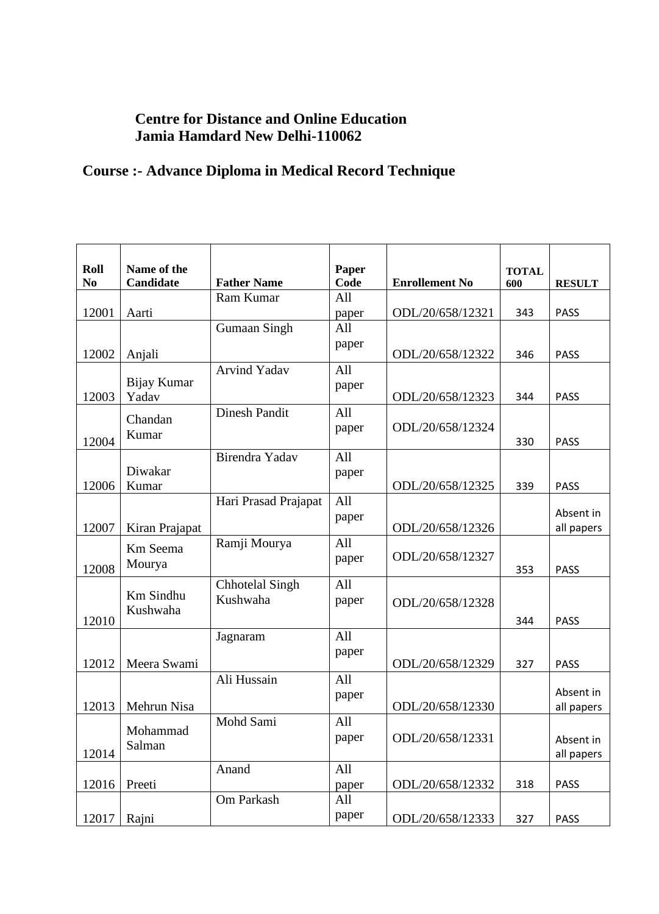## **Centre for Distance and Online Education Jamia Hamdard New Delhi-110062**

## **Course :- Advance Diploma in Medical Record Technique**

| Roll<br>N <sub>0</sub> | Name of the<br><b>Candidate</b> | <b>Father Name</b>     | Paper<br>Code | <b>Enrollement No</b> | <b>TOTAL</b><br>600 | <b>RESULT</b> |
|------------------------|---------------------------------|------------------------|---------------|-----------------------|---------------------|---------------|
|                        |                                 | Ram Kumar              | All           |                       |                     |               |
| 12001                  | Aarti                           |                        | paper         | ODL/20/658/12321      | 343                 | <b>PASS</b>   |
|                        |                                 | <b>Gumaan Singh</b>    | All           |                       |                     |               |
| 12002                  | Anjali                          |                        | paper         | ODL/20/658/12322      | 346                 | <b>PASS</b>   |
|                        |                                 | <b>Arvind Yadav</b>    | All           |                       |                     |               |
|                        | Bijay Kumar                     |                        | paper         |                       |                     |               |
| 12003                  | Yadav                           | <b>Dinesh Pandit</b>   | All           | ODL/20/658/12323      | 344                 | <b>PASS</b>   |
|                        | Chandan                         |                        | paper         | ODL/20/658/12324      |                     |               |
| 12004                  | Kumar                           |                        |               |                       | 330                 | <b>PASS</b>   |
|                        |                                 | Birendra Yadav         | All           |                       |                     |               |
|                        | Diwakar                         |                        | paper         |                       |                     |               |
| 12006                  | Kumar                           |                        |               | ODL/20/658/12325      | 339                 | <b>PASS</b>   |
|                        |                                 | Hari Prasad Prajapat   | All           |                       |                     | Absent in     |
| 12007                  | Kiran Prajapat                  |                        | paper         | ODL/20/658/12326      |                     | all papers    |
|                        |                                 | Ramji Mourya           | All           |                       |                     |               |
|                        | Km Seema<br>Mourya              |                        | paper         | ODL/20/658/12327      |                     |               |
| 12008                  |                                 |                        |               |                       | 353                 | <b>PASS</b>   |
|                        | Km Sindhu                       | <b>Chhotelal Singh</b> | All           |                       |                     |               |
|                        | Kushwaha                        | Kushwaha               | paper         | ODL/20/658/12328      |                     |               |
| 12010                  |                                 |                        |               |                       | 344                 | <b>PASS</b>   |
|                        |                                 | Jagnaram               | All           |                       |                     |               |
| 12012                  | Meera Swami                     |                        | paper         | ODL/20/658/12329      | 327                 | <b>PASS</b>   |
|                        |                                 | Ali Hussain            | All           |                       |                     |               |
|                        |                                 |                        | paper         |                       |                     | Absent in     |
| 12013                  | Mehrun Nisa                     |                        |               | ODL/20/658/12330      |                     | all papers    |
|                        | Mohammad                        | Mohd Sami              | All           |                       |                     |               |
|                        | Salman                          |                        | paper         | ODL/20/658/12331      |                     | Absent in     |
| 12014                  |                                 |                        |               |                       |                     | all papers    |
|                        | Preeti                          | Anand                  | All           | ODL/20/658/12332      |                     | <b>PASS</b>   |
| 12016                  |                                 | Om Parkash             | paper<br>All  |                       | 318                 |               |
|                        |                                 |                        | paper         |                       |                     |               |
| 12017                  | Rajni                           |                        |               | ODL/20/658/12333      | 327                 | <b>PASS</b>   |